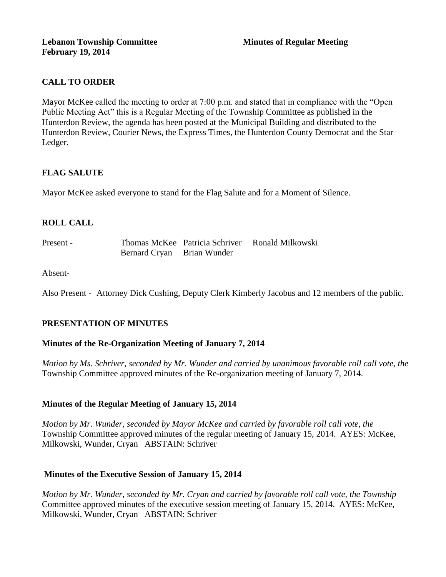# **CALL TO ORDER**

Mayor McKee called the meeting to order at 7:00 p.m. and stated that in compliance with the "Open Public Meeting Act" this is a Regular Meeting of the Township Committee as published in the Hunterdon Review, the agenda has been posted at the Municipal Building and distributed to the Hunterdon Review, Courier News, the Express Times, the Hunterdon County Democrat and the Star Ledger.

# **FLAG SALUTE**

Mayor McKee asked everyone to stand for the Flag Salute and for a Moment of Silence.

# **ROLL CALL**

Present - Thomas McKee Patricia Schriver Ronald Milkowski Bernard Cryan Brian Wunder

Absent-

Also Present - Attorney Dick Cushing, Deputy Clerk Kimberly Jacobus and 12 members of the public.

## **PRESENTATION OF MINUTES**

## **Minutes of the Re-Organization Meeting of January 7, 2014**

*Motion by Ms. Schriver, seconded by Mr. Wunder and carried by unanimous favorable roll call vote, the*  Township Committee approved minutes of the Re-organization meeting of January 7, 2014.

## **Minutes of the Regular Meeting of January 15, 2014**

*Motion by Mr. Wunder, seconded by Mayor McKee and carried by favorable roll call vote, the*  Township Committee approved minutes of the regular meeting of January 15, 2014. AYES: McKee, Milkowski, Wunder, Cryan ABSTAIN: Schriver

## **Minutes of the Executive Session of January 15, 2014**

*Motion by Mr. Wunder, seconded by Mr. Cryan and carried by favorable roll call vote, the Township* Committee approved minutes of the executive session meeting of January 15, 2014. AYES: McKee, Milkowski, Wunder, Cryan ABSTAIN: Schriver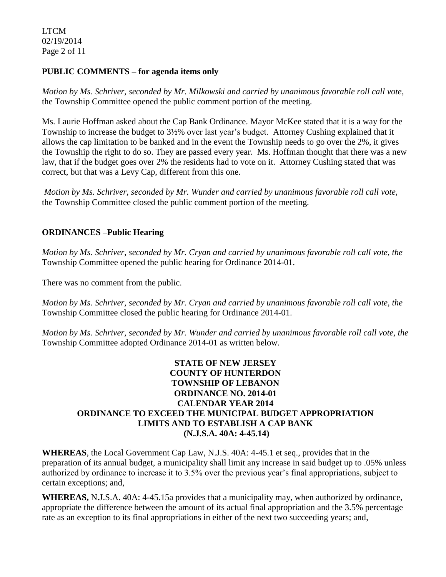LTCM 02/19/2014 Page 2 of 11

### **PUBLIC COMMENTS – for agenda items only**

*Motion by Ms. Schriver, seconded by Mr. Milkowski and carried by unanimous favorable roll call vote,* the Township Committee opened the public comment portion of the meeting.

Ms. Laurie Hoffman asked about the Cap Bank Ordinance. Mayor McKee stated that it is a way for the Township to increase the budget to 3½% over last year's budget. Attorney Cushing explained that it allows the cap limitation to be banked and in the event the Township needs to go over the 2%, it gives the Township the right to do so. They are passed every year. Ms. Hoffman thought that there was a new law, that if the budget goes over 2% the residents had to vote on it. Attorney Cushing stated that was correct, but that was a Levy Cap, different from this one.

*Motion by Ms. Schriver, seconded by Mr. Wunder and carried by unanimous favorable roll call vote,* the Township Committee closed the public comment portion of the meeting.

## **ORDINANCES –Public Hearing**

*Motion by Ms. Schriver, seconded by Mr. Cryan and carried by unanimous favorable roll call vote, the* Township Committee opened the public hearing for Ordinance 2014-01.

There was no comment from the public.

*Motion by Ms. Schriver, seconded by Mr. Cryan and carried by unanimous favorable roll call vote, the* Township Committee closed the public hearing for Ordinance 2014-01.

*Motion by Ms. Schriver, seconded by Mr. Wunder and carried by unanimous favorable roll call vote, the*  Township Committee adopted Ordinance 2014-01 as written below.

### **STATE OF NEW JERSEY COUNTY OF HUNTERDON TOWNSHIP OF LEBANON ORDINANCE NO. 2014-01 CALENDAR YEAR 2014 ORDINANCE TO EXCEED THE MUNICIPAL BUDGET APPROPRIATION LIMITS AND TO ESTABLISH A CAP BANK (N.J.S.A. 40A: 4-45.14)**

**WHEREAS**, the Local Government Cap Law, N.J.S. 40A: 4-45.1 et seq., provides that in the preparation of its annual budget, a municipality shall limit any increase in said budget up to .05% unless authorized by ordinance to increase it to 3.5% over the previous year's final appropriations, subject to certain exceptions; and,

**WHEREAS,** N.J.S.A. 40A: 4-45.15a provides that a municipality may, when authorized by ordinance, appropriate the difference between the amount of its actual final appropriation and the 3.5% percentage rate as an exception to its final appropriations in either of the next two succeeding years; and,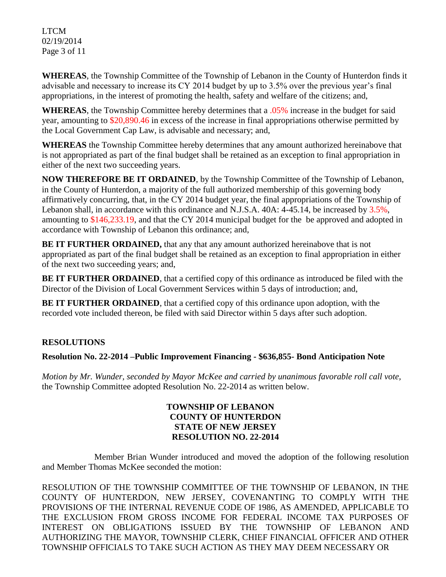LTCM 02/19/2014 Page 3 of 11

**WHEREAS**, the Township Committee of the Township of Lebanon in the County of Hunterdon finds it advisable and necessary to increase its CY 2014 budget by up to 3.5% over the previous year's final appropriations, in the interest of promoting the health, safety and welfare of the citizens; and,

**WHEREAS**, the Township Committee hereby determines that a .05% increase in the budget for said year, amounting to \$20,890.46 in excess of the increase in final appropriations otherwise permitted by the Local Government Cap Law, is advisable and necessary; and,

**WHEREAS** the Township Committee hereby determines that any amount authorized hereinabove that is not appropriated as part of the final budget shall be retained as an exception to final appropriation in either of the next two succeeding years.

**NOW THEREFORE BE IT ORDAINED**, by the Township Committee of the Township of Lebanon, in the County of Hunterdon, a majority of the full authorized membership of this governing body affirmatively concurring, that, in the CY 2014 budget year, the final appropriations of the Township of Lebanon shall, in accordance with this ordinance and N.J.S.A. 40A: 4-45.14, be increased by 3.5%, amounting to \$146,233.19, and that the CY 2014 municipal budget for the be approved and adopted in accordance with Township of Lebanon this ordinance; and,

**BE IT FURTHER ORDAINED,** that any that any amount authorized hereinabove that is not appropriated as part of the final budget shall be retained as an exception to final appropriation in either of the next two succeeding years; and,

**BE IT FURTHER ORDAINED**, that a certified copy of this ordinance as introduced be filed with the Director of the Division of Local Government Services within 5 days of introduction; and,

**BE IT FURTHER ORDAINED**, that a certified copy of this ordinance upon adoption, with the recorded vote included thereon, be filed with said Director within 5 days after such adoption.

# **RESOLUTIONS**

# **Resolution No. 22-2014 –Public Improvement Financing - \$636,855- Bond Anticipation Note**

*Motion by Mr. Wunder, seconded by Mayor McKee and carried by unanimous favorable roll call vote,* the Township Committee adopted Resolution No. 22-2014 as written below.

## **TOWNSHIP OF LEBANON COUNTY OF HUNTERDON STATE OF NEW JERSEY RESOLUTION NO. 22-2014**

Member Brian Wunder introduced and moved the adoption of the following resolution and Member Thomas McKee seconded the motion:

RESOLUTION OF THE TOWNSHIP COMMITTEE OF THE TOWNSHIP OF LEBANON, IN THE COUNTY OF HUNTERDON, NEW JERSEY, COVENANTING TO COMPLY WITH THE PROVISIONS OF THE INTERNAL REVENUE CODE OF 1986, AS AMENDED, APPLICABLE TO THE EXCLUSION FROM GROSS INCOME FOR FEDERAL INCOME TAX PURPOSES OF INTEREST ON OBLIGATIONS ISSUED BY THE TOWNSHIP OF LEBANON AND AUTHORIZING THE MAYOR, TOWNSHIP CLERK, CHIEF FINANCIAL OFFICER AND OTHER TOWNSHIP OFFICIALS TO TAKE SUCH ACTION AS THEY MAY DEEM NECESSARY OR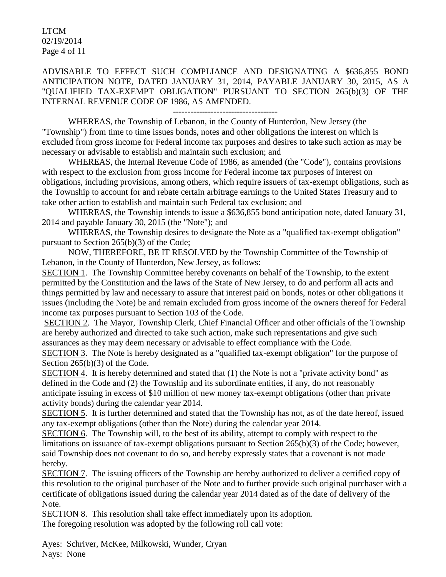LTCM 02/19/2014 Page 4 of 11

ADVISABLE TO EFFECT SUCH COMPLIANCE AND DESIGNATING A \$636,855 BOND ANTICIPATION NOTE, DATED JANUARY 31, 2014, PAYABLE JANUARY 30, 2015, AS A "QUALIFIED TAX-EXEMPT OBLIGATION" PURSUANT TO SECTION 265(b)(3) OF THE INTERNAL REVENUE CODE OF 1986, AS AMENDED.

------------------------------------

WHEREAS, the Township of Lebanon, in the County of Hunterdon, New Jersey (the "Township") from time to time issues bonds, notes and other obligations the interest on which is excluded from gross income for Federal income tax purposes and desires to take such action as may be necessary or advisable to establish and maintain such exclusion; and

WHEREAS, the Internal Revenue Code of 1986, as amended (the "Code"), contains provisions with respect to the exclusion from gross income for Federal income tax purposes of interest on obligations, including provisions, among others, which require issuers of tax-exempt obligations, such as the Township to account for and rebate certain arbitrage earnings to the United States Treasury and to take other action to establish and maintain such Federal tax exclusion; and

WHEREAS, the Township intends to issue a \$636,855 bond anticipation note, dated January 31, 2014 and payable January 30, 2015 (the "Note"); and

WHEREAS, the Township desires to designate the Note as a "qualified tax-exempt obligation" pursuant to Section 265(b)(3) of the Code;

NOW, THEREFORE, BE IT RESOLVED by the Township Committee of the Township of Lebanon, in the County of Hunterdon, New Jersey, as follows:

SECTION 1. The Township Committee hereby covenants on behalf of the Township, to the extent permitted by the Constitution and the laws of the State of New Jersey, to do and perform all acts and things permitted by law and necessary to assure that interest paid on bonds, notes or other obligations it issues (including the Note) be and remain excluded from gross income of the owners thereof for Federal income tax purposes pursuant to Section 103 of the Code.

SECTION 2. The Mayor, Township Clerk, Chief Financial Officer and other officials of the Township are hereby authorized and directed to take such action, make such representations and give such assurances as they may deem necessary or advisable to effect compliance with the Code.

SECTION 3. The Note is hereby designated as a "qualified tax-exempt obligation" for the purpose of Section 265(b)(3) of the Code.

SECTION 4. It is hereby determined and stated that (1) the Note is not a "private activity bond" as defined in the Code and (2) the Township and its subordinate entities, if any, do not reasonably anticipate issuing in excess of \$10 million of new money tax-exempt obligations (other than private activity bonds) during the calendar year 2014.

SECTION 5. It is further determined and stated that the Township has not, as of the date hereof, issued any tax-exempt obligations (other than the Note) during the calendar year 2014.

SECTION 6. The Township will, to the best of its ability, attempt to comply with respect to the limitations on issuance of tax-exempt obligations pursuant to Section 265(b)(3) of the Code; however, said Township does not covenant to do so, and hereby expressly states that a covenant is not made hereby.

SECTION 7. The issuing officers of the Township are hereby authorized to deliver a certified copy of this resolution to the original purchaser of the Note and to further provide such original purchaser with a certificate of obligations issued during the calendar year 2014 dated as of the date of delivery of the Note.

SECTION 8. This resolution shall take effect immediately upon its adoption. The foregoing resolution was adopted by the following roll call vote:

Ayes: Schriver, McKee, Milkowski, Wunder, Cryan Nays: None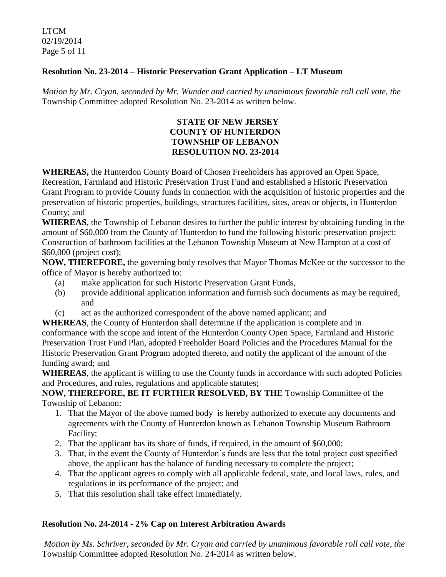LTCM 02/19/2014 Page 5 of 11

## **Resolution No. 23-2014 – Historic Preservation Grant Application – LT Museum**

*Motion by Mr. Cryan, seconded by Mr. Wunder and carried by unanimous favorable roll call vote, the* Township Committee adopted Resolution No. 23-2014 as written below.

## **STATE OF NEW JERSEY COUNTY OF HUNTERDON TOWNSHIP OF LEBANON RESOLUTION NO. 23-2014**

**WHEREAS,** the Hunterdon County Board of Chosen Freeholders has approved an Open Space, Recreation, Farmland and Historic Preservation Trust Fund and established a Historic Preservation Grant Program to provide County funds in connection with the acquisition of historic properties and the preservation of historic properties, buildings, structures facilities, sites, areas or objects, in Hunterdon County; and

**WHEREAS**, the Township of Lebanon desires to further the public interest by obtaining funding in the amount of \$60,000 from the County of Hunterdon to fund the following historic preservation project: Construction of bathroom facilities at the Lebanon Township Museum at New Hampton at a cost of \$60,000 (project cost);

**NOW, THEREFORE,** the governing body resolves that Mayor Thomas McKee or the successor to the office of Mayor is hereby authorized to:

- (a) make application for such Historic Preservation Grant Funds,
- (b) provide additional application information and furnish such documents as may be required, and
- (c) act as the authorized correspondent of the above named applicant; and

**WHEREAS**, the County of Hunterdon shall determine if the application is complete and in conformance with the scope and intent of the Hunterdon County Open Space, Farmland and Historic Preservation Trust Fund Plan, adopted Freeholder Board Policies and the Procedures Manual for the Historic Preservation Grant Program adopted thereto, and notify the applicant of the amount of the funding award; and

**WHEREAS**, the applicant is willing to use the County funds in accordance with such adopted Policies and Procedures, and rules, regulations and applicable statutes;

**NOW, THEREFORE, BE IT FURTHER RESOLVED, BY THE** Township Committee of the Township of Lebanon:

- 1. That the Mayor of the above named body is hereby authorized to execute any documents and agreements with the County of Hunterdon known as Lebanon Township Museum Bathroom Facility;
- 2. That the applicant has its share of funds, if required, in the amount of \$60,000;
- 3. That, in the event the County of Hunterdon's funds are less that the total project cost specified above, the applicant has the balance of funding necessary to complete the project;
- 4. That the applicant agrees to comply with all applicable federal, state, and local laws, rules, and regulations in its performance of the project; and
- 5. That this resolution shall take effect immediately.

## **Resolution No. 24-2014 - 2% Cap on Interest Arbitration Awards**

*Motion by Ms. Schriver, seconded by Mr. Cryan and carried by unanimous favorable roll call vote, the* Township Committee adopted Resolution No. 24-2014 as written below.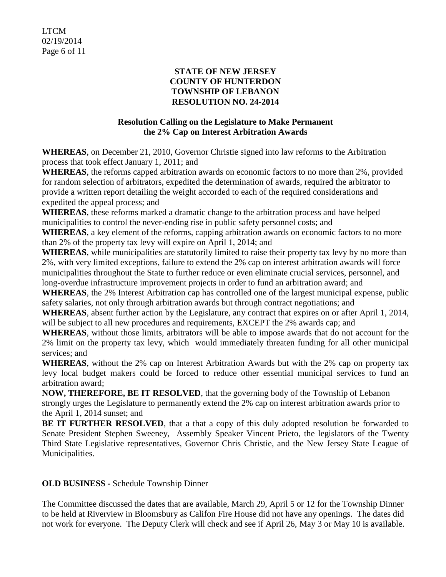#### **STATE OF NEW JERSEY COUNTY OF HUNTERDON TOWNSHIP OF LEBANON RESOLUTION NO. 24-2014**

# **Resolution Calling on the Legislature to Make Permanent the 2% Cap on Interest Arbitration Awards**

**WHEREAS**, on December 21, 2010, Governor Christie signed into law reforms to the Arbitration process that took effect January 1, 2011; and

**WHEREAS**, the reforms capped arbitration awards on economic factors to no more than 2%, provided for random selection of arbitrators, expedited the determination of awards, required the arbitrator to provide a written report detailing the weight accorded to each of the required considerations and expedited the appeal process; and

**WHEREAS**, these reforms marked a dramatic change to the arbitration process and have helped municipalities to control the never-ending rise in public safety personnel costs; and

**WHEREAS**, a key element of the reforms, capping arbitration awards on economic factors to no more than 2% of the property tax levy will expire on April 1, 2014; and

**WHEREAS**, while municipalities are statutorily limited to raise their property tax levy by no more than 2%, with very limited exceptions, failure to extend the 2% cap on interest arbitration awards will force municipalities throughout the State to further reduce or even eliminate crucial services, personnel, and long-overdue infrastructure improvement projects in order to fund an arbitration award; and

**WHEREAS**, the 2% Interest Arbitration cap has controlled one of the largest municipal expense, public safety salaries, not only through arbitration awards but through contract negotiations; and

**WHEREAS**, absent further action by the Legislature, any contract that expires on or after April 1, 2014, will be subject to all new procedures and requirements, EXCEPT the 2% awards cap; and

**WHEREAS**, without those limits, arbitrators will be able to impose awards that do not account for the 2% limit on the property tax levy, which would immediately threaten funding for all other municipal services; and

**WHEREAS**, without the 2% cap on Interest Arbitration Awards but with the 2% cap on property tax levy local budget makers could be forced to reduce other essential municipal services to fund an arbitration award;

**NOW, THEREFORE, BE IT RESOLVED**, that the governing body of the Township of Lebanon strongly urges the Legislature to permanently extend the 2% cap on interest arbitration awards prior to the April 1, 2014 sunset; and

**BE IT FURTHER RESOLVED**, that a that a copy of this duly adopted resolution be forwarded to Senate President Stephen Sweeney, Assembly Speaker Vincent Prieto, the legislators of the Twenty Third State Legislative representatives, Governor Chris Christie, and the New Jersey State League of Municipalities.

**OLD BUSINESS -** Schedule Township Dinner

The Committee discussed the dates that are available, March 29, April 5 or 12 for the Township Dinner to be held at Riverview in Bloomsbury as Califon Fire House did not have any openings. The dates did not work for everyone. The Deputy Clerk will check and see if April 26, May 3 or May 10 is available.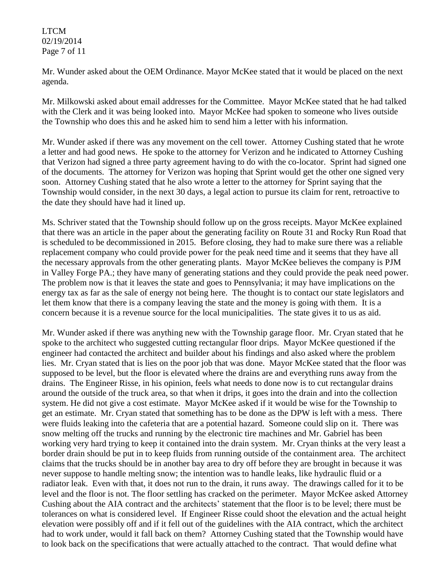LTCM 02/19/2014 Page 7 of 11

Mr. Wunder asked about the OEM Ordinance. Mayor McKee stated that it would be placed on the next agenda.

Mr. Milkowski asked about email addresses for the Committee. Mayor McKee stated that he had talked with the Clerk and it was being looked into. Mayor McKee had spoken to someone who lives outside the Township who does this and he asked him to send him a letter with his information.

Mr. Wunder asked if there was any movement on the cell tower. Attorney Cushing stated that he wrote a letter and had good news. He spoke to the attorney for Verizon and he indicated to Attorney Cushing that Verizon had signed a three party agreement having to do with the co-locator. Sprint had signed one of the documents. The attorney for Verizon was hoping that Sprint would get the other one signed very soon. Attorney Cushing stated that he also wrote a letter to the attorney for Sprint saying that the Township would consider, in the next 30 days, a legal action to pursue its claim for rent, retroactive to the date they should have had it lined up.

Ms. Schriver stated that the Township should follow up on the gross receipts. Mayor McKee explained that there was an article in the paper about the generating facility on Route 31 and Rocky Run Road that is scheduled to be decommissioned in 2015. Before closing, they had to make sure there was a reliable replacement company who could provide power for the peak need time and it seems that they have all the necessary approvals from the other generating plants. Mayor McKee believes the company is PJM in Valley Forge PA.; they have many of generating stations and they could provide the peak need power. The problem now is that it leaves the state and goes to Pennsylvania; it may have implications on the energy tax as far as the sale of energy not being here. The thought is to contact our state legislators and let them know that there is a company leaving the state and the money is going with them. It is a concern because it is a revenue source for the local municipalities. The state gives it to us as aid.

Mr. Wunder asked if there was anything new with the Township garage floor. Mr. Cryan stated that he spoke to the architect who suggested cutting rectangular floor drips. Mayor McKee questioned if the engineer had contacted the architect and builder about his findings and also asked where the problem lies. Mr. Cryan stated that is lies on the poor job that was done. Mayor McKee stated that the floor was supposed to be level, but the floor is elevated where the drains are and everything runs away from the drains. The Engineer Risse, in his opinion, feels what needs to done now is to cut rectangular drains around the outside of the truck area, so that when it drips, it goes into the drain and into the collection system. He did not give a cost estimate. Mayor McKee asked if it would be wise for the Township to get an estimate. Mr. Cryan stated that something has to be done as the DPW is left with a mess. There were fluids leaking into the cafeteria that are a potential hazard. Someone could slip on it. There was snow melting off the trucks and running by the electronic tire machines and Mr. Gabriel has been working very hard trying to keep it contained into the drain system. Mr. Cryan thinks at the very least a border drain should be put in to keep fluids from running outside of the containment area. The architect claims that the trucks should be in another bay area to dry off before they are brought in because it was never suppose to handle melting snow; the intention was to handle leaks, like hydraulic fluid or a radiator leak. Even with that, it does not run to the drain, it runs away. The drawings called for it to be level and the floor is not. The floor settling has cracked on the perimeter. Mayor McKee asked Attorney Cushing about the AIA contract and the architects' statement that the floor is to be level; there must be tolerances on what is considered level. If Engineer Risse could shoot the elevation and the actual height elevation were possibly off and if it fell out of the guidelines with the AIA contract, which the architect had to work under, would it fall back on them? Attorney Cushing stated that the Township would have to look back on the specifications that were actually attached to the contract. That would define what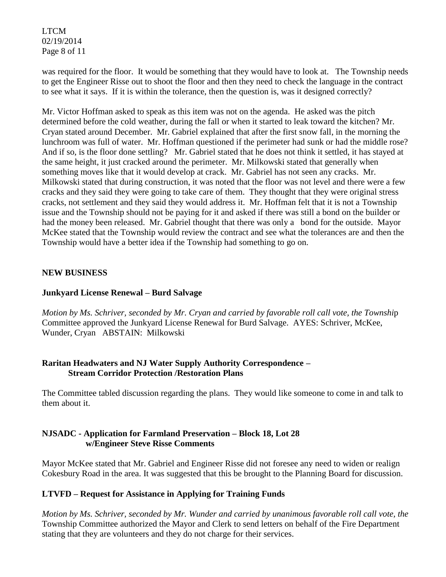LTCM 02/19/2014 Page 8 of 11

was required for the floor. It would be something that they would have to look at. The Township needs to get the Engineer Risse out to shoot the floor and then they need to check the language in the contract to see what it says. If it is within the tolerance, then the question is, was it designed correctly?

Mr. Victor Hoffman asked to speak as this item was not on the agenda. He asked was the pitch determined before the cold weather, during the fall or when it started to leak toward the kitchen? Mr. Cryan stated around December. Mr. Gabriel explained that after the first snow fall, in the morning the lunchroom was full of water. Mr. Hoffman questioned if the perimeter had sunk or had the middle rose? And if so, is the floor done settling? Mr. Gabriel stated that he does not think it settled, it has stayed at the same height, it just cracked around the perimeter. Mr. Milkowski stated that generally when something moves like that it would develop at crack. Mr. Gabriel has not seen any cracks. Mr. Milkowski stated that during construction, it was noted that the floor was not level and there were a few cracks and they said they were going to take care of them. They thought that they were original stress cracks, not settlement and they said they would address it. Mr. Hoffman felt that it is not a Township issue and the Township should not be paying for it and asked if there was still a bond on the builder or had the money been released. Mr. Gabriel thought that there was only a bond for the outside. Mayor McKee stated that the Township would review the contract and see what the tolerances are and then the Township would have a better idea if the Township had something to go on.

## **NEW BUSINESS**

## **Junkyard License Renewal – Burd Salvage**

*Motion by Ms. Schriver, seconded by Mr. Cryan and carried by favorable roll call vote, the Townshi*p Committee approved the Junkyard License Renewal for Burd Salvage. AYES: Schriver, McKee, Wunder, Cryan ABSTAIN: Milkowski

### **Raritan Headwaters and NJ Water Supply Authority Correspondence – Stream Corridor Protection /Restoration Plans**

The Committee tabled discussion regarding the plans. They would like someone to come in and talk to them about it.

### **NJSADC - Application for Farmland Preservation – Block 18, Lot 28 w/Engineer Steve Risse Comments**

Mayor McKee stated that Mr. Gabriel and Engineer Risse did not foresee any need to widen or realign Cokesbury Road in the area. It was suggested that this be brought to the Planning Board for discussion.

## **LTVFD – Request for Assistance in Applying for Training Funds**

*Motion by Ms. Schriver, seconded by Mr. Wunder and carried by unanimous favorable roll call vote, the*  Township Committee authorized the Mayor and Clerk to send letters on behalf of the Fire Department stating that they are volunteers and they do not charge for their services.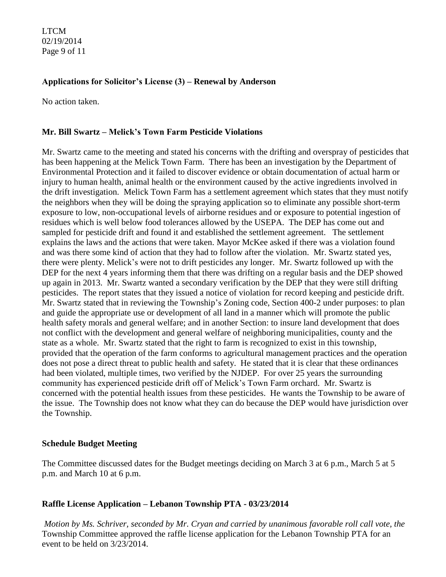LTCM 02/19/2014 Page 9 of 11

## **Applications for Solicitor's License (3) – Renewal by Anderson**

No action taken.

#### **Mr. Bill Swartz – Melick's Town Farm Pesticide Violations**

Mr. Swartz came to the meeting and stated his concerns with the drifting and overspray of pesticides that has been happening at the Melick Town Farm. There has been an investigation by the Department of Environmental Protection and it failed to discover evidence or obtain documentation of actual harm or injury to human health, animal health or the environment caused by the active ingredients involved in the drift investigation. Melick Town Farm has a settlement agreement which states that they must notify the neighbors when they will be doing the spraying application so to eliminate any possible short-term exposure to low, non-occupational levels of airborne residues and or exposure to potential ingestion of residues which is well below food tolerances allowed by the USEPA. The DEP has come out and sampled for pesticide drift and found it and established the settlement agreement. The settlement explains the laws and the actions that were taken. Mayor McKee asked if there was a violation found and was there some kind of action that they had to follow after the violation. Mr. Swartz stated yes, there were plenty. Melick's were not to drift pesticides any longer. Mr. Swartz followed up with the DEP for the next 4 years informing them that there was drifting on a regular basis and the DEP showed up again in 2013. Mr. Swartz wanted a secondary verification by the DEP that they were still drifting pesticides. The report states that they issued a notice of violation for record keeping and pesticide drift. Mr. Swartz stated that in reviewing the Township's Zoning code, Section 400-2 under purposes: to plan and guide the appropriate use or development of all land in a manner which will promote the public health safety morals and general welfare; and in another Section: to insure land development that does not conflict with the development and general welfare of neighboring municipalities, county and the state as a whole. Mr. Swartz stated that the right to farm is recognized to exist in this township, provided that the operation of the farm conforms to agricultural management practices and the operation does not pose a direct threat to public health and safety. He stated that it is clear that these ordinances had been violated, multiple times, two verified by the NJDEP. For over 25 years the surrounding community has experienced pesticide drift off of Melick's Town Farm orchard. Mr. Swartz is concerned with the potential health issues from these pesticides. He wants the Township to be aware of the issue. The Township does not know what they can do because the DEP would have jurisdiction over the Township.

#### **Schedule Budget Meeting**

The Committee discussed dates for the Budget meetings deciding on March 3 at 6 p.m., March 5 at 5 p.m. and March 10 at 6 p.m.

#### **Raffle License Application – Lebanon Township PTA - 03/23/2014**

*Motion by Ms. Schriver, seconded by Mr. Cryan and carried by unanimous favorable roll call vote, the*  Township Committee approved the raffle license application for the Lebanon Township PTA for an event to be held on 3/23/2014.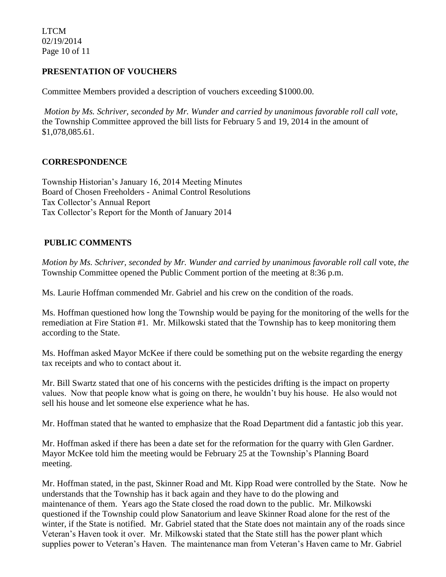LTCM 02/19/2014 Page 10 of 11

## **PRESENTATION OF VOUCHERS**

Committee Members provided a description of vouchers exceeding \$1000.00.

*Motion by Ms. Schriver, seconded by Mr. Wunder and carried by unanimous favorable roll call vote*, the Township Committee approved the bill lists for February 5 and 19, 2014 in the amount of \$1,078,085.61.

#### **CORRESPONDENCE**

Township Historian's January 16, 2014 Meeting Minutes Board of Chosen Freeholders - Animal Control Resolutions Tax Collector's Annual Report Tax Collector's Report for the Month of January 2014

## **PUBLIC COMMENTS**

*Motion by Ms. Schriver, seconded by Mr. Wunder and carried by unanimous favorable roll call* vote, *the*  Township Committee opened the Public Comment portion of the meeting at 8:36 p.m.

Ms. Laurie Hoffman commended Mr. Gabriel and his crew on the condition of the roads.

Ms. Hoffman questioned how long the Township would be paying for the monitoring of the wells for the remediation at Fire Station #1. Mr. Milkowski stated that the Township has to keep monitoring them according to the State.

Ms. Hoffman asked Mayor McKee if there could be something put on the website regarding the energy tax receipts and who to contact about it.

Mr. Bill Swartz stated that one of his concerns with the pesticides drifting is the impact on property values. Now that people know what is going on there, he wouldn't buy his house. He also would not sell his house and let someone else experience what he has.

Mr. Hoffman stated that he wanted to emphasize that the Road Department did a fantastic job this year.

Mr. Hoffman asked if there has been a date set for the reformation for the quarry with Glen Gardner. Mayor McKee told him the meeting would be February 25 at the Township's Planning Board meeting.

Mr. Hoffman stated, in the past, Skinner Road and Mt. Kipp Road were controlled by the State. Now he understands that the Township has it back again and they have to do the plowing and maintenance of them. Years ago the State closed the road down to the public. Mr. Milkowski questioned if the Township could plow Sanatorium and leave Skinner Road alone for the rest of the winter, if the State is notified. Mr. Gabriel stated that the State does not maintain any of the roads since Veteran's Haven took it over. Mr. Milkowski stated that the State still has the power plant which supplies power to Veteran's Haven. The maintenance man from Veteran's Haven came to Mr. Gabriel